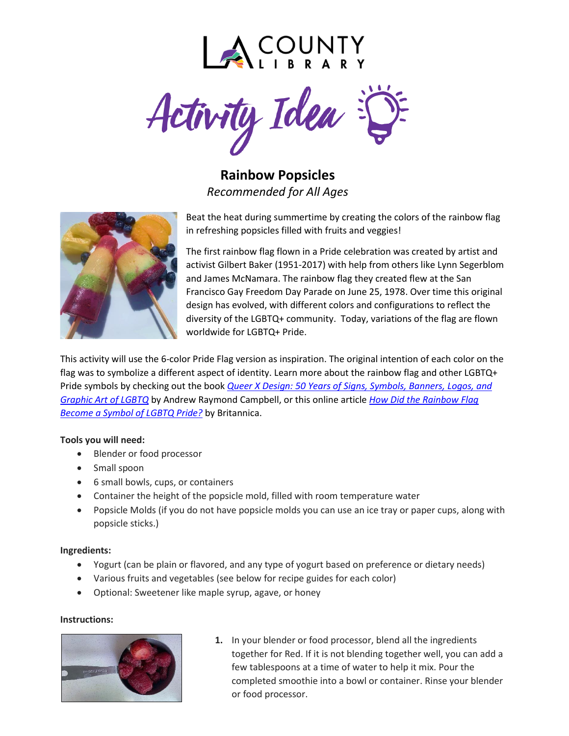

Activity Idea

**Rainbow Popsicles** *Recommended for All Ages*



Beat the heat during summertime by creating the colors of the rainbow flag in refreshing popsicles filled with fruits and veggies!

The first rainbow flag flown in a Pride celebration was created by artist and activist Gilbert Baker (1951-2017) with help from others like Lynn Segerblom and James McNamara. The rainbow flag they created flew at the San Francisco Gay Freedom Day Parade on June 25, 1978. Over time this original design has evolved, with different colors and configurations to reflect the diversity of the LGBTQ+ community. Today, variations of the flag are flown worldwide for LGBTQ+ Pride.

This activity will use the 6-color Pride Flag version as inspiration. The original intention of each color on the flag was to symbolize a different aspect of identity. Learn more about the rainbow flag and other LGBTQ+ Pride symbols by checking out the book *[Queer X Design: 50 Years of Signs, Symbols, Banners, Logos, and](https://catalog.lacountylibrary.org/client/en_US/default/search/detailnonmodal/ent:$002f$002fSD_ILS$002f0$002fSD_ILS:1709744/one?qu=QUEER+X+DESIGN+%3A+50+years+of+signs%2C+symbols%2C+banners%2C+logos%2C+and+graphic+art+of+LGBTQ)  [Graphic Art of LGBTQ](https://catalog.lacountylibrary.org/client/en_US/default/search/detailnonmodal/ent:$002f$002fSD_ILS$002f0$002fSD_ILS:1709744/one?qu=QUEER+X+DESIGN+%3A+50+years+of+signs%2C+symbols%2C+banners%2C+logos%2C+and+graphic+art+of+LGBTQ)* by Andrew Raymond Campbell, or this online article *[How Did the Rainbow Flag](https://www.britannica.com/story/how-did-the-rainbow-flag-become-a-symbol-of-lgbt-pride)  [Become a Symbol of LGBTQ Pride?](https://www.britannica.com/story/how-did-the-rainbow-flag-become-a-symbol-of-lgbt-pride)* by Britannica.

#### **Tools you will need:**

- Blender or food processor
- Small spoon
- 6 small bowls, cups, or containers
- Container the height of the popsicle mold, filled with room temperature water
- Popsicle Molds (if you do not have popsicle molds you can use an ice tray or paper cups, along with popsicle sticks.)

#### **Ingredients:**

- Yogurt (can be plain or flavored, and any type of yogurt based on preference or dietary needs)
- Various fruits and vegetables (see below for recipe guides for each color)
- Optional: Sweetener like maple syrup, agave, or honey

#### **Instructions:**



**1.** In your blender or food processor, blend all the ingredients together for Red. If it is not blending together well, you can add a few tablespoons at a time of water to help it mix. Pour the completed smoothie into a bowl or container. Rinse your blender or food processor.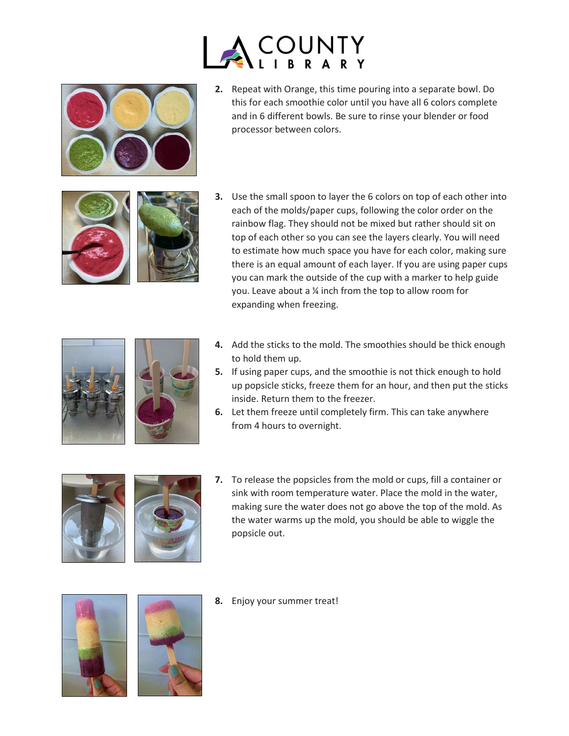



**2.** Repeat with Orange, this time pouring into a separate bowl. Do this for each smoothie color until you have all 6 colors complete and in 6 different bowls. Be sure to rinse your blender or food processor between colors.



**3.** Use the small spoon to layer the 6 colors on top of each other into each of the molds/paper cups, following the color order on the rainbow flag. They should not be mixed but rather should sit on top of each other so you can see the layers clearly. You will need to estimate how much space you have for each color, making sure there is an equal amount of each layer. If you are using paper cups you can mark the outside of the cup with a marker to help guide you. Leave about a ¼ inch from the top to allow room for expanding when freezing.





- **4.** Add the sticks to the mold. The smoothies should be thick enough to hold them up.
- **5.** If using paper cups, and the smoothie is not thick enough to hold up popsicle sticks, freeze them for an hour, and then put the sticks inside. Return them to the freezer.
- **6.** Let them freeze until completely firm. This can take anywhere from 4 hours to overnight.





**7.** To release the popsicles from the mold or cups, fill a container or sink with room temperature water. Place the mold in the water, making sure the water does not go above the top of the mold. As the water warms up the mold, you should be able to wiggle the popsicle out.





**8.** Enjoy your summer treat!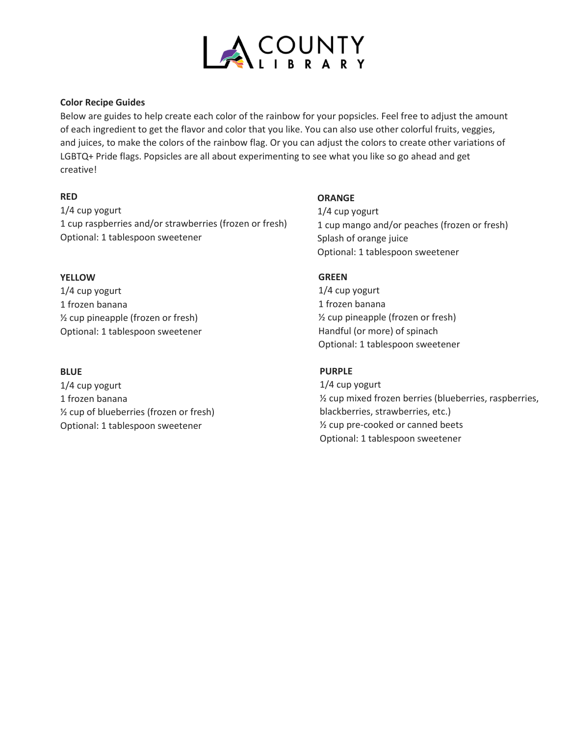

### **Color Recipe Guides**

Below are guides to help create each color of the rainbow for your popsicles. Feel free to adjust the amount of each ingredient to get the flavor and color that you like. You can also use other colorful fruits, veggies, and juices, to make the colors of the rainbow flag. Or you can adjust the colors to create other variations of LGBTQ+ Pride flags. Popsicles are all about experimenting to see what you like so go ahead and get creative!

# **RED**

1/4 cup yogurt 1 cup raspberries and/or strawberries (frozen or fresh) Optional: 1 tablespoon sweetener

## **YELLOW**

1/4 cup yogurt 1 frozen banana ½ cup pineapple (frozen or fresh) Optional: 1 tablespoon sweetener

## **BLUE**

1/4 cup yogurt 1 frozen banana ½ cup of blueberries (frozen or fresh) Optional: 1 tablespoon sweetener

### **ORANGE**

1/4 cup yogurt 1 cup mango and/or peaches (frozen or fresh) Splash of orange juice Optional: 1 tablespoon sweetener

## **GREEN**

1/4 cup yogurt 1 frozen banana ½ cup pineapple (frozen or fresh) Handful (or more) of spinach Optional: 1 tablespoon sweetener

## **PURPLE**

1/4 cup yogurt ½ cup mixed frozen berries (blueberries, raspberries, blackberries, strawberries, etc.) ½ cup pre-cooked or canned beets Optional: 1 tablespoon sweetener